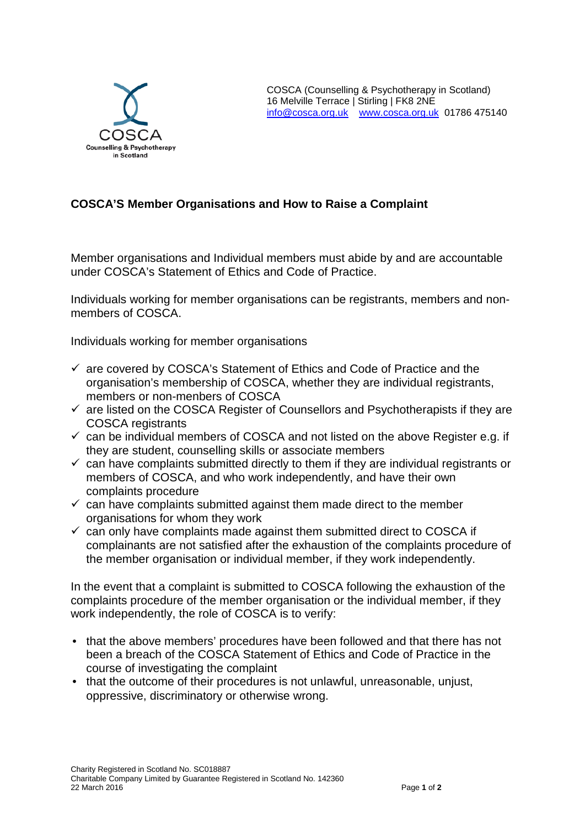

# **COSCA'S Member Organisations and How to Raise a Complaint**

Member organisations and Individual members must abide by and are accountable under COSCA's Statement of Ethics and Code of Practice.

Individuals working for member organisations can be registrants, members and nonmembers of COSCA.

Individuals working for member organisations

- $\checkmark$  are covered by COSCA's Statement of Ethics and Code of Practice and the organisation's membership of COSCA, whether they are individual registrants, members or non-menbers of COSCA
- $\checkmark$  are listed on the COSCA Register of Counsellors and Psychotherapists if they are COSCA registrants
- $\checkmark$  can be individual members of COSCA and not listed on the above Register e.g. if they are student, counselling skills or associate members
- $\checkmark$  can have complaints submitted directly to them if they are individual registrants or members of COSCA, and who work independently, and have their own complaints procedure
- $\checkmark$  can have complaints submitted against them made direct to the member organisations for whom they work
- $\checkmark$  can only have complaints made against them submitted direct to COSCA if complainants are not satisfied after the exhaustion of the complaints procedure of the member organisation or individual member, if they work independently.

In the event that a complaint is submitted to COSCA following the exhaustion of the complaints procedure of the member organisation or the individual member, if they work independently, the role of COSCA is to verify:

- that the above members' procedures have been followed and that there has not been a breach of the COSCA Statement of Ethics and Code of Practice in the course of investigating the complaint
- that the outcome of their procedures is not unlawful, unreasonable, unjust, oppressive, discriminatory or otherwise wrong.